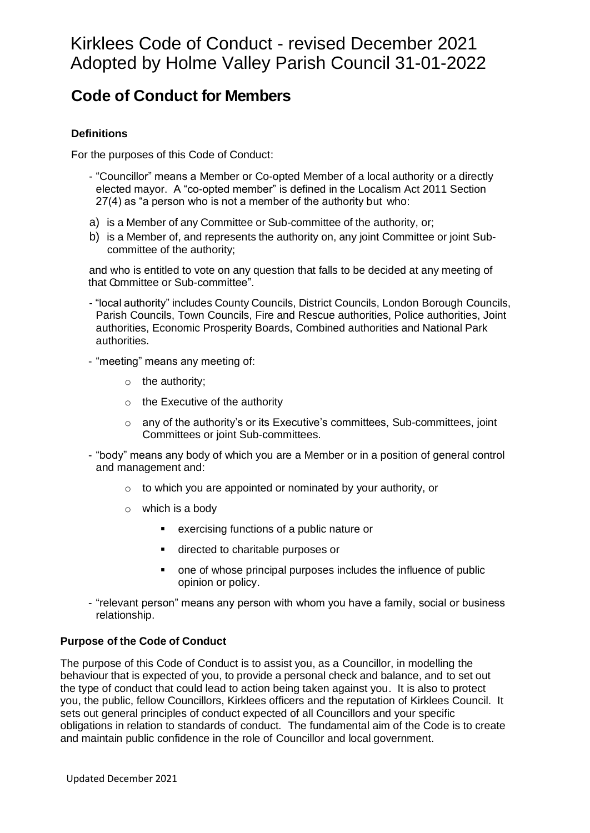# **Code of Conduct for Members**

### **Definitions**

For the purposes of this Code of Conduct:

- "Councillor" means a Member or Co-opted Member of a local authority or a directly elected mayor. A "co-opted member" is defined in the Localism Act 2011 Section 27(4) as "a person who is not a member of the authority but who:
- a) is a Member of any Committee or Sub-committee of the authority, or;
- b) is a Member of, and represents the authority on, any joint Committee or joint Subcommittee of the authority;

and who is entitled to vote on any question that falls to be decided at any meeting of that Committee or Sub-committee".

- "local authority" includes County Councils, District Councils, London Borough Councils, Parish Councils, Town Councils, Fire and Rescue authorities, Police authorities, Joint authorities, Economic Prosperity Boards, Combined authorities and National Park authorities.
- "meeting" means any meeting of:
	- o the authority;
	- $\circ$  the Executive of the authority
	- $\circ$  any of the authority's or its Executive's committees, Sub-committees, joint Committees or joint Sub-committees.
- "body" means any body of which you are a Member or in a position of general control and management and:
	- o to which you are appointed or nominated by your authority, or
	- $\circ$  which is a body
		- exercising functions of a public nature or
		- directed to charitable purposes or
		- one of whose principal purposes includes the influence of public opinion or policy.
- "relevant person" means any person with whom you have a family, social or business relationship.

### **Purpose of the Code of Conduct**

The purpose of this Code of Conduct is to assist you, as a Councillor, in modelling the behaviour that is expected of you, to provide a personal check and balance, and to set out the type of conduct that could lead to action being taken against you. It is also to protect you, the public, fellow Councillors, Kirklees officers and the reputation of Kirklees Council. It sets out general principles of conduct expected of all Councillors and your specific obligations in relation to standards of conduct. The fundamental aim of the Code is to create and maintain public confidence in the role of Councillor and local government.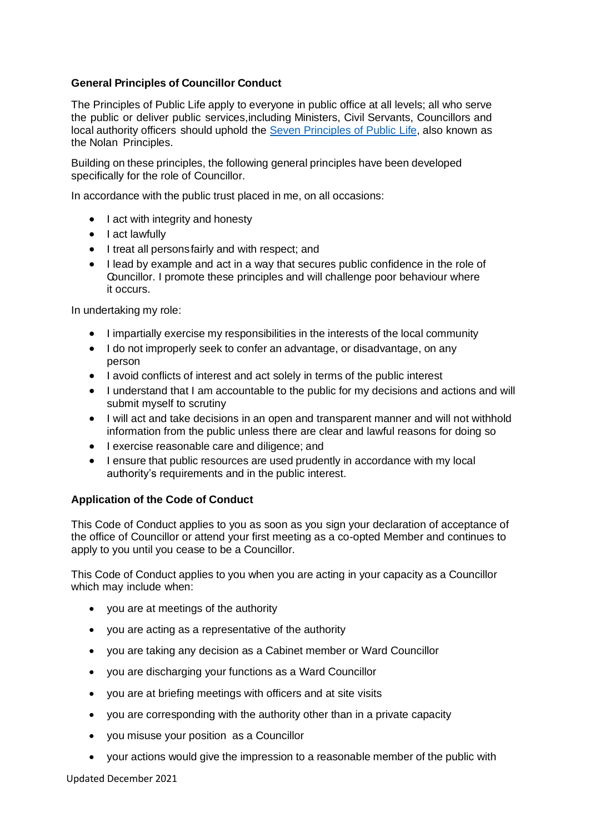### **General Principles of Councillor Conduct**

The Principles of Public Life apply to everyone in public office at all levels; all who serve the public or deliver public services,including Ministers, Civil Servants, Councillors and local authority officers should uphold the Seven [Principles](https://www.gov.uk/government/publications/the-7-principles-of-public-life/the-7-principles-of-public-life--2) of Public Life, also known as the Nolan Principles.

Building on these principles, the following general principles have been developed specifically for the role of Councillor.

In accordance with the public trust placed in me, on all occasions:

- I act with integrity and honesty
- I act lawfully
- I treat all personsfairly and with respect; and
- I lead by example and act in a way that secures public confidence in the role of Councillor. I promote these principles and will challenge poor behaviour where it occurs.

In undertaking my role:

- I impartially exercise my responsibilities in the interests of the local community
- I do not improperly seek to confer an advantage, or disadvantage, on any person
- I avoid conflicts of interest and act solely in terms of the public interest
- I understand that I am accountable to the public for my decisions and actions and will submit myself to scrutiny
- I will act and take decisions in an open and transparent manner and will not withhold information from the public unless there are clear and lawful reasons for doing so
- I exercise reasonable care and diligence; and
- I ensure that public resources are used prudently in accordance with my local authority's requirements and in the public interest.

### **Application of the Code of Conduct**

This Code of Conduct applies to you as soon as you sign your declaration of acceptance of the office of Councillor or attend your first meeting as a co-opted Member and continues to apply to you until you cease to be a Councillor.

This Code of Conduct applies to you when you are acting in your capacity as a Councillor which may include when:

- you are at meetings of the authority
- you are acting as a representative of the authority
- you are taking any decision as a Cabinet member or Ward Councillor
- you are discharging your functions as a Ward Councillor
- you are at briefing meetings with officers and at site visits
- you are corresponding with the authority other than in a private capacity
- you misuse your position as a Councillor
- your actions would give the impression to a reasonable member of the public with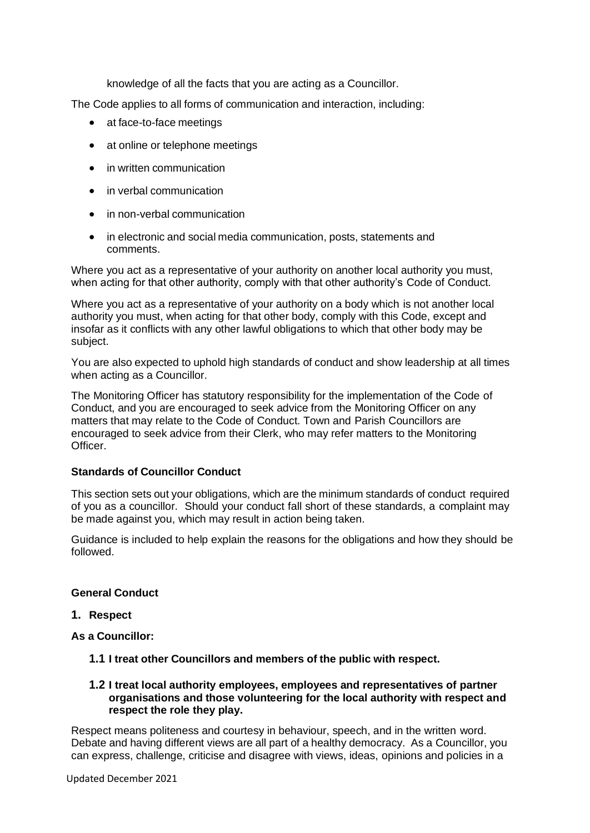knowledge of all the facts that you are acting as a Councillor.

The Code applies to all forms of communication and interaction, including:

- at face-to-face meetings
- at online or telephone meetings
- in written communication
- in verbal communication
- in non-verbal communication
- in electronic and social media communication, posts, statements and comments.

Where you act as a representative of your authority on another local authority you must, when acting for that other authority, comply with that other authority's Code of Conduct.

Where you act as a representative of your authority on a body which is not another local authority you must, when acting for that other body, comply with this Code, except and insofar as it conflicts with any other lawful obligations to which that other body may be subject.

You are also expected to uphold high standards of conduct and show leadership at all times when acting as a Councillor.

The Monitoring Officer has statutory responsibility for the implementation of the Code of Conduct, and you are encouraged to seek advice from the Monitoring Officer on any matters that may relate to the Code of Conduct. Town and Parish Councillors are encouraged to seek advice from their Clerk, who may refer matters to the Monitoring Officer.

### **Standards of Councillor Conduct**

This section sets out your obligations, which are the minimum standards of conduct required of you as a councillor. Should your conduct fall short of these standards, a complaint may be made against you, which may result in action being taken.

Guidance is included to help explain the reasons for the obligations and how they should be followed.

### **General Conduct**

#### **1. Respect**

**As a Councillor:**

- **1.1 I treat other Councillors and members of the public with respect.**
- **1.2 I treat local authority employees, employees and representatives of partner organisations and those volunteering for the local authority with respect and respect the role they play.**

Respect means politeness and courtesy in behaviour, speech, and in the written word. Debate and having different views are all part of a healthy democracy. As a Councillor, you can express, challenge, criticise and disagree with views, ideas, opinions and policies in a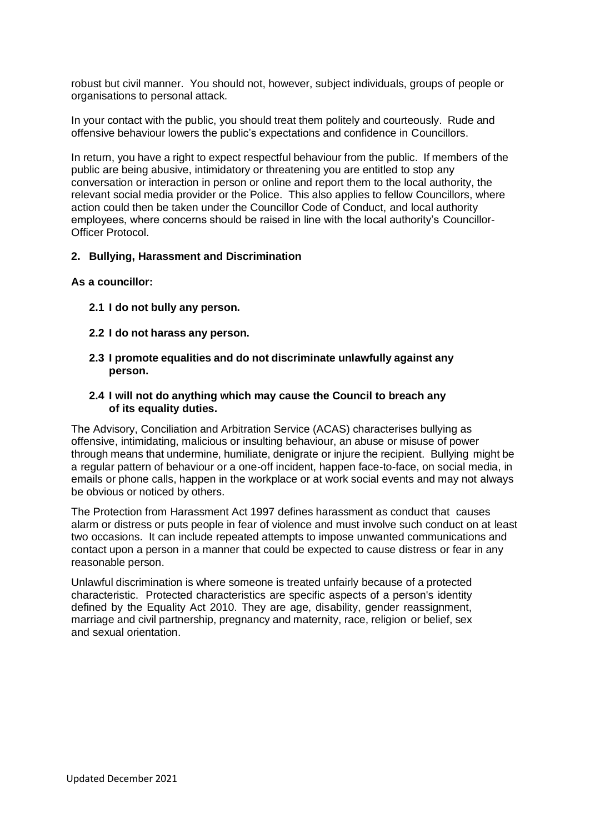robust but civil manner. You should not, however, subject individuals, groups of people or organisations to personal attack.

In your contact with the public, you should treat them politely and courteously. Rude and offensive behaviour lowers the public's expectations and confidence in Councillors.

In return, you have a right to expect respectful behaviour from the public. If members of the public are being abusive, intimidatory or threatening you are entitled to stop any conversation or interaction in person or online and report them to the local authority, the relevant social media provider or the Police. This also applies to fellow Councillors, where action could then be taken under the Councillor Code of Conduct, and local authority employees, where concerns should be raised in line with the local authority's Councillor-Officer Protocol.

#### **2. Bullying, Harassment and Discrimination**

#### **As a councillor:**

- **2.1 I do not bully any person.**
- **2.2 I do not harass any person.**
- **2.3 I promote equalities and do not discriminate unlawfully against any person.**
- **2.4 I will not do anything which may cause the Council to breach any of its equality duties.**

The Advisory, Conciliation and Arbitration Service (ACAS) characterises bullying as offensive, intimidating, malicious or insulting behaviour, an abuse or misuse of power through means that undermine, humiliate, denigrate or injure the recipient. Bullying might be a regular pattern of behaviour or a one-off incident, happen face-to-face, on social media, in emails or phone calls, happen in the workplace or at work social events and may not always be obvious or noticed by others.

The Protection from Harassment Act 1997 defines harassment as conduct that causes alarm or distress or puts people in fear of violence and must involve such conduct on at least two occasions. It can include repeated attempts to impose unwanted communications and contact upon a person in a manner that could be expected to cause distress or fear in any reasonable person.

Unlawful discrimination is where someone is treated unfairly because of a protected characteristic. Protected characteristics are specific aspects of a person's identity defined by the Equality Act 2010. They are age, disability, gender reassignment, marriage and civil partnership, pregnancy and maternity, race, religion or belief, sex and sexual orientation.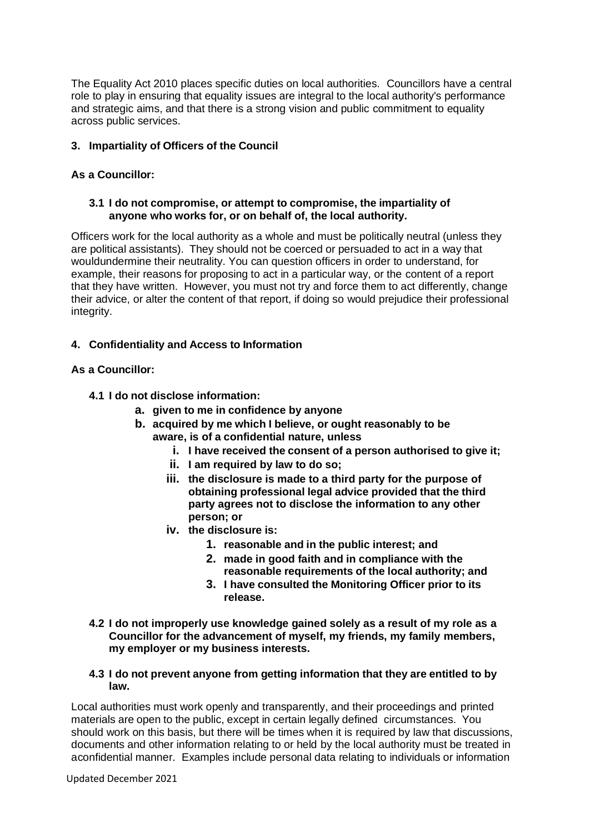The Equality Act 2010 places specific duties on local authorities. Councillors have a central role to play in ensuring that equality issues are integral to the local authority's performance and strategic aims, and that there is a strong vision and public commitment to equality across public services.

### **3. Impartiality of Officers of the Council**

### **As a Councillor:**

### **3.1 I do not compromise, or attempt to compromise, the impartiality of anyone who works for, or on behalf of, the local authority.**

Officers work for the local authority as a whole and must be politically neutral (unless they are political assistants). They should not be coerced or persuaded to act in a way that wouldundermine their neutrality. You can question officers in order to understand, for example, their reasons for proposing to act in a particular way, or the content of a report that they have written. However, you must not try and force them to act differently, change their advice, or alter the content of that report, if doing so would prejudice their professional integrity.

### **4. Confidentiality and Access to Information**

### **As a Councillor:**

- **4.1 I do not disclose information:**
	- **a. given to me in confidence by anyone**
	- **b. acquired by me which I believe, or ought reasonably to be aware, is of a confidential nature, unless**
		- **i. I have received the consent of a person authorised to give it;**
		- **ii. I am required by law to do so;**
		- **iii. the disclosure is made to a third party for the purpose of obtaining professional legal advice provided that the third party agrees not to disclose the information to any other person; or**
		- **iv. the disclosure is:**
			- **1. reasonable and in the public interest; and**
			- **2. made in good faith and in compliance with the reasonable requirements of the local authority; and**
			- **3. I have consulted the Monitoring Officer prior to its release.**
- **4.2 I do not improperly use knowledge gained solely as a result of my role as a Councillor for the advancement of myself, my friends, my family members, my employer or my business interests.**
- **4.3 I do not prevent anyone from getting information that they are entitled to by law.**

Local authorities must work openly and transparently, and their proceedings and printed materials are open to the public, except in certain legally defined circumstances. You should work on this basis, but there will be times when it is required by law that discussions, documents and other information relating to or held by the local authority must be treated in aconfidential manner. Examples include personal data relating to individuals or information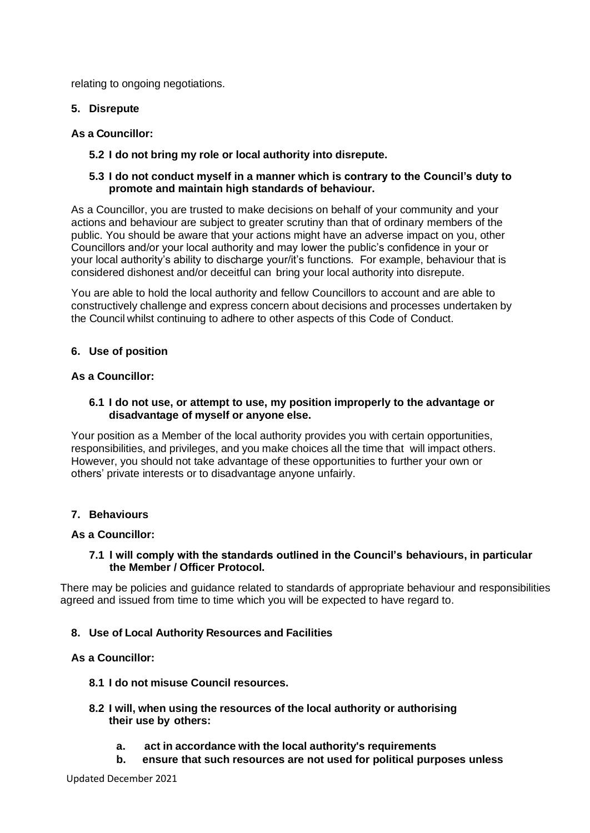relating to ongoing negotiations.

**5. Disrepute**

### **As a Councillor:**

**5.2 I do not bring my role or local authority into disrepute.**

#### **5.3 I do not conduct myself in a manner which is contrary to the Council's duty to promote and maintain high standards of behaviour.**

As a Councillor, you are trusted to make decisions on behalf of your community and your actions and behaviour are subject to greater scrutiny than that of ordinary members of the public. You should be aware that your actions might have an adverse impact on you, other Councillors and/or your local authority and may lower the public's confidence in your or your local authority's ability to discharge your/it's functions. For example, behaviour that is considered dishonest and/or deceitful can bring your local authority into disrepute.

You are able to hold the local authority and fellow Councillors to account and are able to constructively challenge and express concern about decisions and processes undertaken by the Council whilst continuing to adhere to other aspects of this Code of Conduct.

#### **6. Use of position**

#### **As a Councillor:**

#### **6.1 I do not use, or attempt to use, my position improperly to the advantage or disadvantage of myself or anyone else.**

Your position as a Member of the local authority provides you with certain opportunities, responsibilities, and privileges, and you make choices all the time that will impact others. However, you should not take advantage of these opportunities to further your own or others' private interests or to disadvantage anyone unfairly.

### **7. Behaviours**

#### **As a Councillor:**

#### **7.1 I will comply with the standards outlined in the Council's behaviours, in particular the Member / Officer Protocol.**

There may be policies and guidance related to standards of appropriate behaviour and responsibilities agreed and issued from time to time which you will be expected to have regard to.

### **8. Use of Local Authority Resources and Facilities**

### **As a Councillor:**

- **8.1 I do not misuse Council resources.**
- **8.2 I will, when using the resources of the local authority or authorising their use by others:**
	- **a. act in accordance with the local authority's requirements**
	- **b. ensure that such resources are not used for political purposes unless**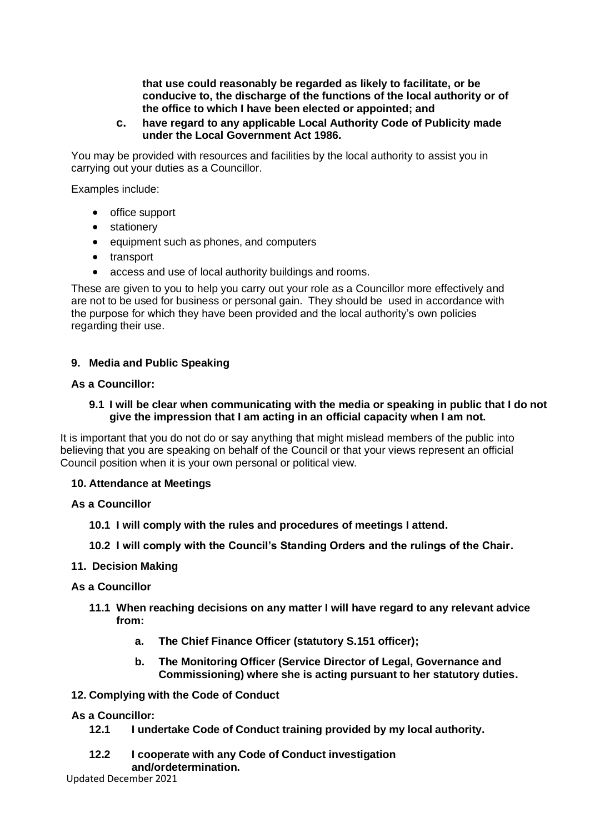**that use could reasonably be regarded as likely to facilitate, or be conducive to, the discharge of the functions of the local authority or of the office to which I have been elected or appointed; and**

#### **c. have regard to any applicable Local Authority Code of Publicity made under the Local Government Act 1986.**

You may be provided with resources and facilities by the local authority to assist you in carrying out your duties as a Councillor.

Examples include:

- office support
- stationery
- equipment such as phones, and computers
- transport
- access and use of local authority buildings and rooms.

These are given to you to help you carry out your role as a Councillor more effectively and are not to be used for business or personal gain. They should be used in accordance with the purpose for which they have been provided and the local authority's own policies regarding their use.

#### **9. Media and Public Speaking**

#### **As a Councillor:**

#### **9.1 I will be clear when communicating with the media or speaking in public that I do not give the impression that I am acting in an official capacity when I am not.**

It is important that you do not do or say anything that might mislead members of the public into believing that you are speaking on behalf of the Council or that your views represent an official Council position when it is your own personal or political view.

#### **10. Attendance at Meetings**

#### **As a Councillor**

**10.1 I will comply with the rules and procedures of meetings I attend.**

**10.2 I will comply with the Council's Standing Orders and the rulings of the Chair.**

#### **11. Decision Making**

#### **As a Councillor**

- **11.1 When reaching decisions on any matter I will have regard to any relevant advice from:**
	- **a. The Chief Finance Officer (statutory S.151 officer);**
	- **b. The Monitoring Officer (Service Director of Legal, Governance and Commissioning) where she is acting pursuant to her statutory duties.**

#### **12. Complying with the Code of Conduct**

#### **As a Councillor:**

- **12.1 I undertake Code of Conduct training provided by my local authority.**
- **12.2 I cooperate with any Code of Conduct investigation**

#### **and/ordetermination.**

Updated December 2021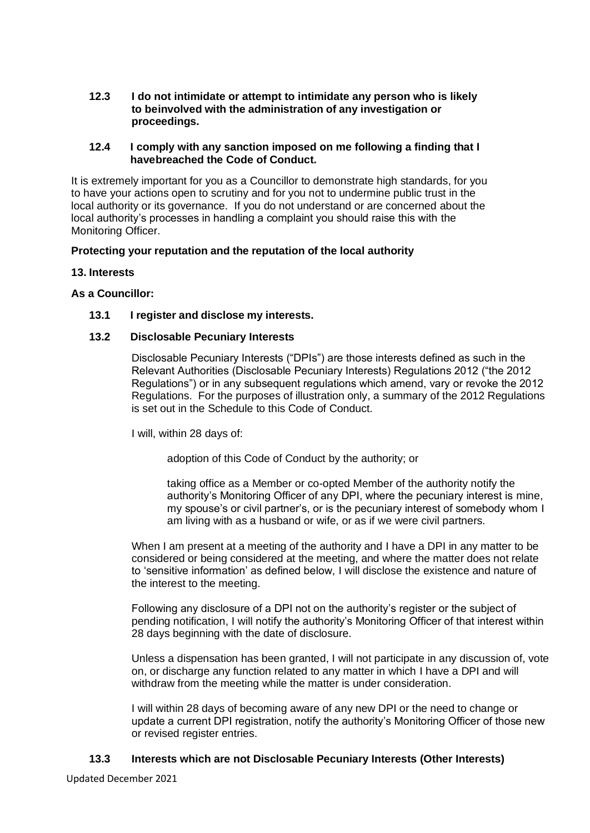**12.3 I do not intimidate or attempt to intimidate any person who is likely to beinvolved with the administration of any investigation or proceedings.**

### **12.4 I comply with any sanction imposed on me following a finding that I havebreached the Code of Conduct.**

It is extremely important for you as a Councillor to demonstrate high standards, for you to have your actions open to scrutiny and for you not to undermine public trust in the local authority or its governance. If you do not understand or are concerned about the local authority's processes in handling a complaint you should raise this with the Monitoring Officer.

### **Protecting your reputation and the reputation of the local authority**

### **13. Interests**

### **As a Councillor:**

### **13.1 I register and disclose my interests.**

### **13.2 Disclosable Pecuniary Interests**

Disclosable Pecuniary Interests ("DPIs") are those interests defined as such in the Relevant Authorities (Disclosable Pecuniary Interests) Regulations 2012 ("the 2012 Regulations") or in any subsequent regulations which amend, vary or revoke the 2012 Regulations. For the purposes of illustration only, a summary of the 2012 Regulations is set out in the Schedule to this Code of Conduct.

I will, within 28 days of:

adoption of this Code of Conduct by the authority; or

taking office as a Member or co-opted Member of the authority notify the authority's Monitoring Officer of any DPI, where the pecuniary interest is mine, my spouse's or civil partner's, or is the pecuniary interest of somebody whom I am living with as a husband or wife, or as if we were civil partners.

When I am present at a meeting of the authority and I have a DPI in any matter to be considered or being considered at the meeting, and where the matter does not relate to 'sensitive information' as defined below, I will disclose the existence and nature of the interest to the meeting.

Following any disclosure of a DPI not on the authority's register or the subject of pending notification, I will notify the authority's Monitoring Officer of that interest within 28 days beginning with the date of disclosure.

Unless a dispensation has been granted, I will not participate in any discussion of, vote on, or discharge any function related to any matter in which I have a DPI and will withdraw from the meeting while the matter is under consideration.

I will within 28 days of becoming aware of any new DPI or the need to change or update a current DPI registration, notify the authority's Monitoring Officer of those new or revised register entries.

### **13.3 Interests which are not Disclosable Pecuniary Interests (Other Interests)**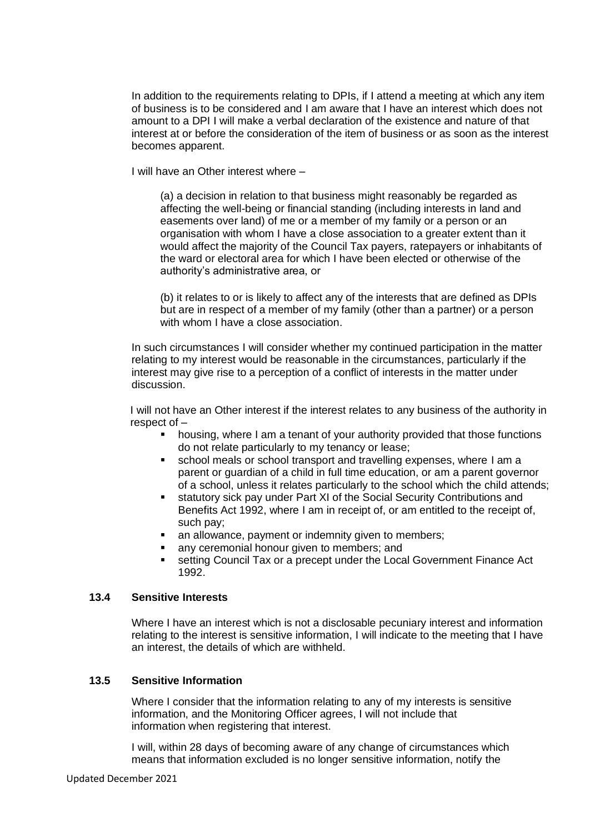In addition to the requirements relating to DPIs, if I attend a meeting at which any item of business is to be considered and I am aware that I have an interest which does not amount to a DPI I will make a verbal declaration of the existence and nature of that interest at or before the consideration of the item of business or as soon as the interest becomes apparent.

I will have an Other interest where –

(a) a decision in relation to that business might reasonably be regarded as affecting the well-being or financial standing (including interests in land and easements over land) of me or a member of my family or a person or an organisation with whom I have a close association to a greater extent than it would affect the majority of the Council Tax payers, ratepayers or inhabitants of the ward or electoral area for which I have been elected or otherwise of the authority's administrative area, or

(b) it relates to or is likely to affect any of the interests that are defined as DPIs but are in respect of a member of my family (other than a partner) or a person with whom I have a close association.

In such circumstances I will consider whether my continued participation in the matter relating to my interest would be reasonable in the circumstances, particularly if the interest may give rise to a perception of a conflict of interests in the matter under discussion.

I will not have an Other interest if the interest relates to any business of the authority in respect of –

- housing, where I am a tenant of your authority provided that those functions do not relate particularly to my tenancy or lease;
- school meals or school transport and travelling expenses, where I am a parent or guardian of a child in full time education, or am a parent governor of a school, unless it relates particularly to the school which the child attends;
- statutory sick pay under Part XI of the Social Security Contributions and Benefits Act 1992, where I am in receipt of, or am entitled to the receipt of, such pay;
- an allowance, payment or indemnity given to members;
- any ceremonial honour given to members; and
- **EXECT** setting Council Tax or a precept under the Local Government Finance Act 1992.

#### **13.4 Sensitive Interests**

Where I have an interest which is not a disclosable pecuniary interest and information relating to the interest is sensitive information, I will indicate to the meeting that I have an interest, the details of which are withheld.

#### **13.5 Sensitive Information**

Where I consider that the information relating to any of my interests is sensitive information, and the Monitoring Officer agrees, I will not include that information when registering that interest.

I will, within 28 days of becoming aware of any change of circumstances which means that information excluded is no longer sensitive information, notify the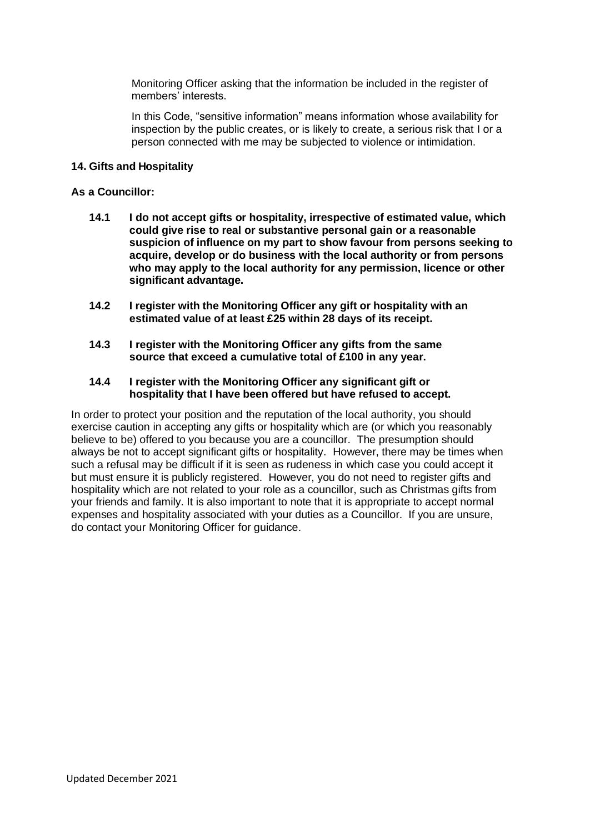Monitoring Officer asking that the information be included in the register of members' interests.

In this Code, "sensitive information" means information whose availability for inspection by the public creates, or is likely to create, a serious risk that I or a person connected with me may be subjected to violence or intimidation.

#### **14. Gifts and Hospitality**

#### **As a Councillor:**

- **14.1 I do not accept gifts or hospitality, irrespective of estimated value, which could give rise to real or substantive personal gain or a reasonable suspicion of influence on my part to show favour from persons seeking to acquire, develop or do business with the local authority or from persons who may apply to the local authority for any permission, licence or other significant advantage.**
- **14.2 I register with the Monitoring Officer any gift or hospitality with an estimated value of at least £25 within 28 days of its receipt.**
- **14.3 I register with the Monitoring Officer any gifts from the same source that exceed a cumulative total of £100 in any year.**

#### **14.4 I register with the Monitoring Officer any significant gift or hospitality that I have been offered but have refused to accept.**

In order to protect your position and the reputation of the local authority, you should exercise caution in accepting any gifts or hospitality which are (or which you reasonably believe to be) offered to you because you are a councillor. The presumption should always be not to accept significant gifts or hospitality. However, there may be times when such a refusal may be difficult if it is seen as rudeness in which case you could accept it but must ensure it is publicly registered. However, you do not need to register gifts and hospitality which are not related to your role as a councillor, such as Christmas gifts from your friends and family. It is also important to note that it is appropriate to accept normal expenses and hospitality associated with your duties as a Councillor. If you are unsure, do contact your Monitoring Officer for guidance.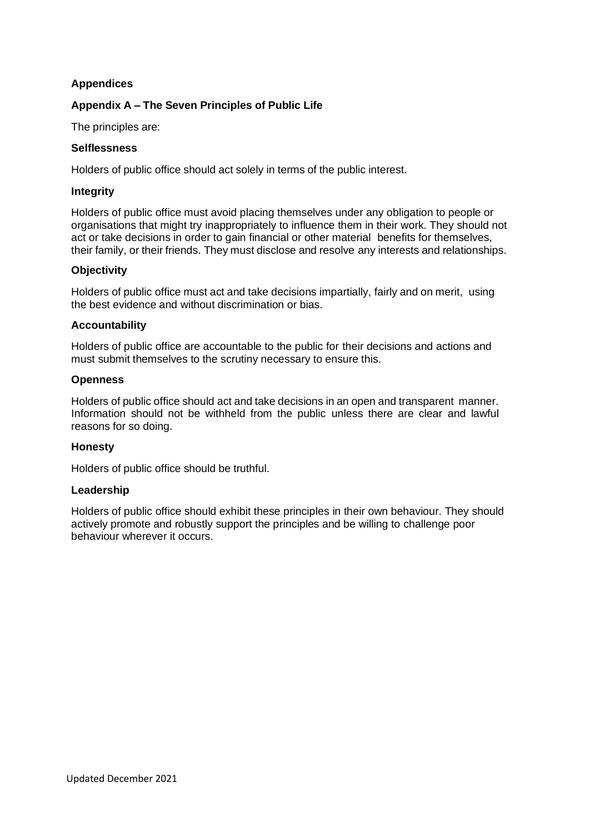### **Appendices**

### **Appendix A – The Seven Principles of Public Life**

The principles are:

### **Selflessness**

Holders of public office should act solely in terms of the public interest.

#### **Integrity**

Holders of public office must avoid placing themselves under any obligation to people or organisations that might try inappropriately to influence them in their work. They should not act or take decisions in order to gain financial or other material benefits for themselves, their family, or their friends. They must disclose and resolve any interests and relationships.

### **Objectivity**

Holders of public office must act and take decisions impartially, fairly and on merit, using the best evidence and without discrimination or bias.

#### **Accountability**

Holders of public office are accountable to the public for their decisions and actions and must submit themselves to the scrutiny necessary to ensure this.

#### **Openness**

Holders of public office should act and take decisions in an open and transparent manner. Information should not be withheld from the public unless there are clear and lawful reasons for so doing.

#### **Honesty**

Holders of public office should be truthful.

#### **Leadership**

Holders of public office should exhibit these principles in their own behaviour. They should actively promote and robustly support the principles and be willing to challenge poor behaviour wherever it occurs.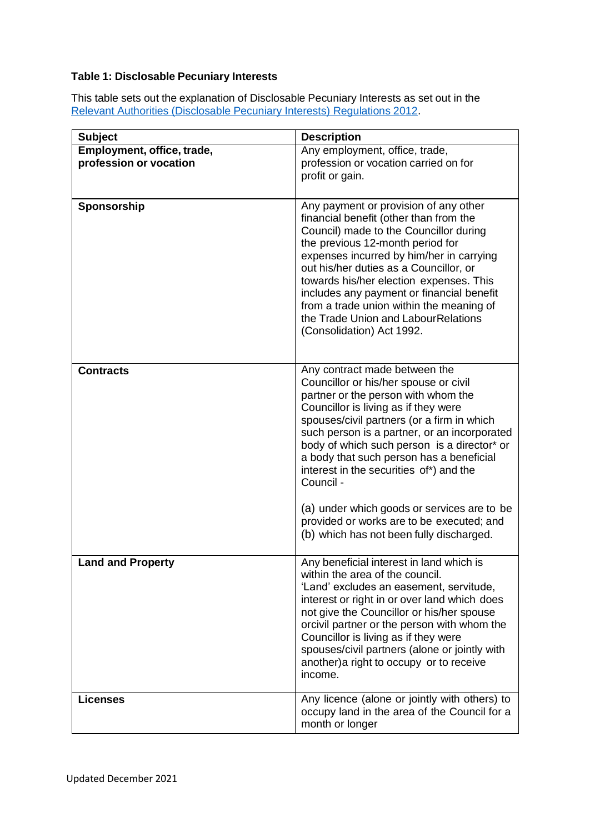## **Table 1: Disclosable Pecuniary Interests**

This table sets out the explanation of Disclosable Pecuniary Interests as set out in the Relevant Authorities [\(Disclosable](https://www.legislation.gov.uk/uksi/2012/1464/made) Pecuniary Interests) Regulations 2012.

| <b>Subject</b>             | <b>Description</b>                                                                            |
|----------------------------|-----------------------------------------------------------------------------------------------|
| Employment, office, trade, | Any employment, office, trade,                                                                |
| profession or vocation     | profession or vocation carried on for                                                         |
|                            | profit or gain.                                                                               |
|                            |                                                                                               |
| Sponsorship                | Any payment or provision of any other                                                         |
|                            | financial benefit (other than from the                                                        |
|                            | Council) made to the Councillor during                                                        |
|                            | the previous 12-month period for                                                              |
|                            | expenses incurred by him/her in carrying                                                      |
|                            | out his/her duties as a Councillor, or                                                        |
|                            | towards his/her election expenses. This<br>includes any payment or financial benefit          |
|                            | from a trade union within the meaning of                                                      |
|                            | the Trade Union and LabourRelations                                                           |
|                            | (Consolidation) Act 1992.                                                                     |
|                            |                                                                                               |
| <b>Contracts</b>           | Any contract made between the                                                                 |
|                            | Councillor or his/her spouse or civil                                                         |
|                            | partner or the person with whom the                                                           |
|                            | Councillor is living as if they were                                                          |
|                            | spouses/civil partners (or a firm in which                                                    |
|                            | such person is a partner, or an incorporated                                                  |
|                            | body of which such person is a director* or<br>a body that such person has a beneficial       |
|                            | interest in the securities of*) and the                                                       |
|                            | Council -                                                                                     |
|                            |                                                                                               |
|                            | (a) under which goods or services are to be                                                   |
|                            | provided or works are to be executed; and                                                     |
|                            | (b) which has not been fully discharged.                                                      |
| <b>Land and Property</b>   | Any beneficial interest in land which is                                                      |
|                            | within the area of the council.                                                               |
|                            | 'Land' excludes an easement, servitude,                                                       |
|                            | interest or right in or over land which does                                                  |
|                            | not give the Councillor or his/her spouse                                                     |
|                            | orcivil partner or the person with whom the<br>Councillor is living as if they were           |
|                            | spouses/civil partners (alone or jointly with                                                 |
|                            | another) a right to occupy or to receive                                                      |
|                            | income.                                                                                       |
|                            |                                                                                               |
| <b>Licenses</b>            | Any licence (alone or jointly with others) to<br>occupy land in the area of the Council for a |
|                            | month or longer                                                                               |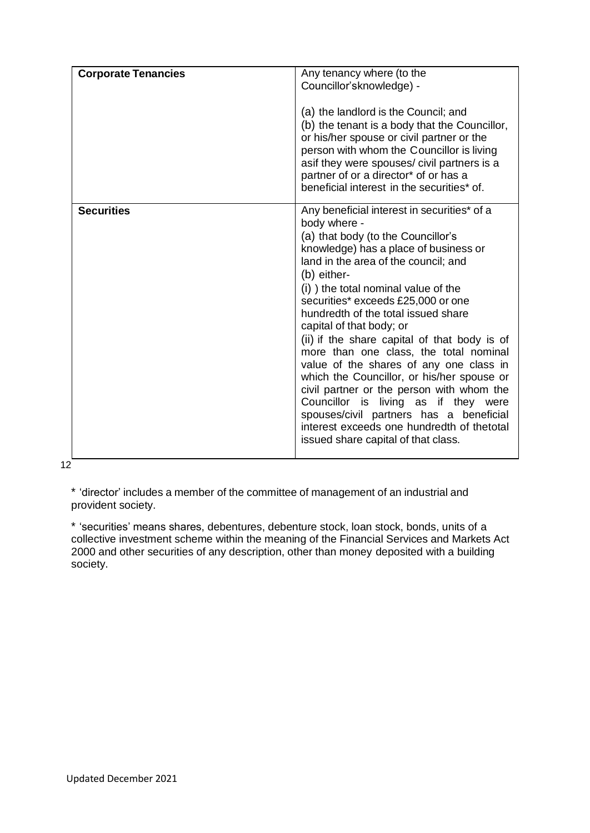| <b>Corporate Tenancies</b> | Any tenancy where (to the<br>Councillor'sknowledge) -<br>(a) the landlord is the Council; and<br>(b) the tenant is a body that the Councillor,<br>or his/her spouse or civil partner or the<br>person with whom the Councillor is living<br>asif they were spouses/ civil partners is a<br>partner of or a director* of or has a<br>beneficial interest in the securities* of.                                                                                                                                                                                                                                                                                                                                                                           |
|----------------------------|----------------------------------------------------------------------------------------------------------------------------------------------------------------------------------------------------------------------------------------------------------------------------------------------------------------------------------------------------------------------------------------------------------------------------------------------------------------------------------------------------------------------------------------------------------------------------------------------------------------------------------------------------------------------------------------------------------------------------------------------------------|
| <b>Securities</b>          | Any beneficial interest in securities* of a<br>body where -<br>(a) that body (to the Councillor's<br>knowledge) has a place of business or<br>land in the area of the council; and<br>(b) either-<br>(i) the total nominal value of the<br>securities* exceeds £25,000 or one<br>hundredth of the total issued share<br>capital of that body; or<br>(ii) if the share capital of that body is of<br>more than one class, the total nominal<br>value of the shares of any one class in<br>which the Councillor, or his/her spouse or<br>civil partner or the person with whom the<br>Councillor is living as if they were<br>spouses/civil partners has a beneficial<br>interest exceeds one hundredth of thetotal<br>issued share capital of that class. |

12

\* 'director' includes a member of the committee of management of an industrial and provident society.

\* 'securities' means shares, debentures, debenture stock, loan stock, bonds, units of a collective investment scheme within the meaning of the Financial Services and Markets Act 2000 and other securities of any description, other than money deposited with a building society.